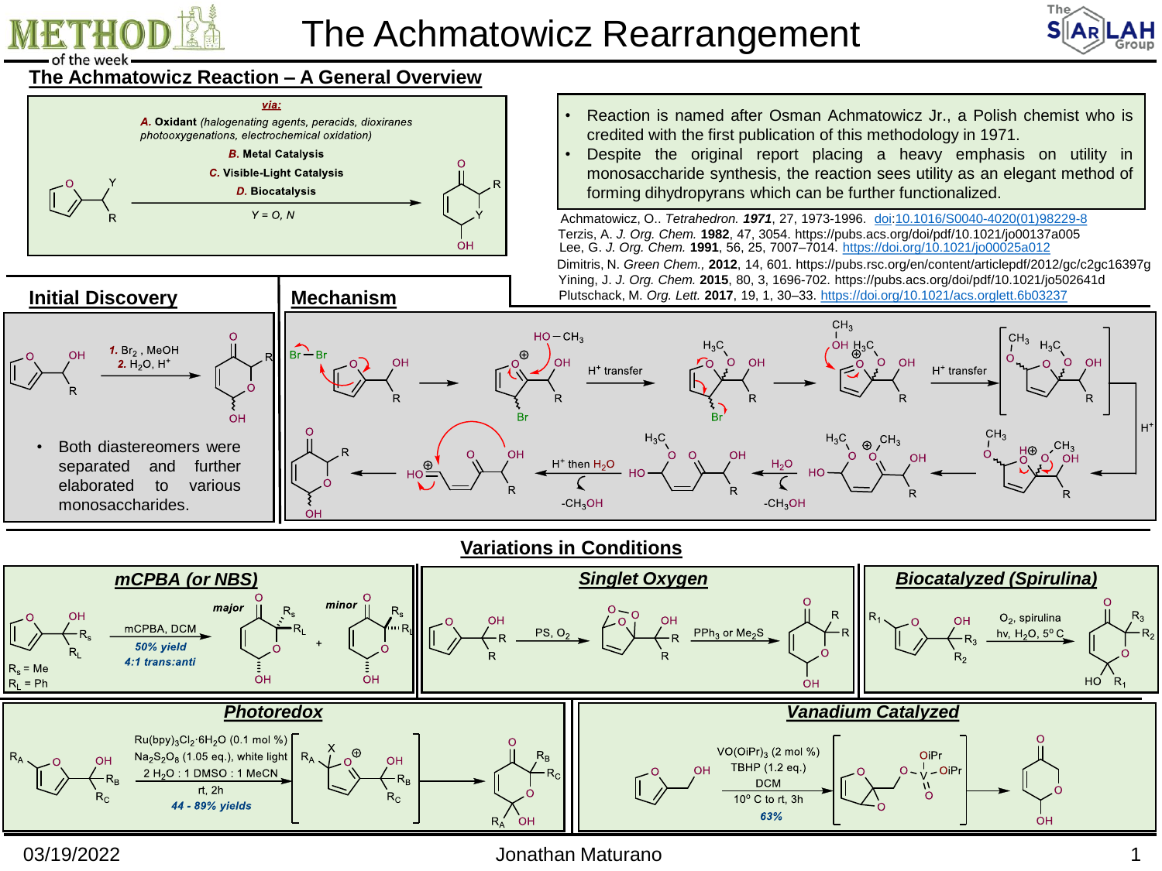

# The Achmatowicz Rearrangement



## **The Achmatowicz Reaction – A General Overview**



- Reaction is named after Osman Achmatowicz Jr., a Polish chemist who is credited with the first publication of this methodology in 1971.
- Despite the original report placing a heavy emphasis on utility in monosaccharide synthesis, the reaction sees utility as an elegant method of forming dihydropyrans which can be further functionalized.

Plutschack, M. *Org. Lett.* **2017**, 19, 1, 30–33. <https://doi.org/10.1021/acs.orglett.6b03237> Lee, G. *J. Org. Chem.* **1991**, 56, 25, 7007–7014. <https://doi.org/10.1021/jo00025a012> Dimitris, N. *Green Chem.,* **2012**, 14, 601. https://pubs.rsc.org/en/content/articlepdf/2012/gc/c2gc16397g Terzis, A. *J. Org. Chem.* **1982**, 47, 3054. https://pubs.acs.org/doi/pdf/10.1021/jo00137a005 Yining, J. *J. Org. Chem.* **2015**, 80, 3, 1696-702. https://pubs.acs.org/doi/pdf/10.1021/jo502641d Achmatowicz, O.. *Tetrahedron. 1971*, 27, 1973-1996. [doi:](https://en.wikipedia.org/wiki/Doi_(identifier))[10.1016/S0040-4020\(01\)98229-8](https://doi.org/10.1016%2FS0040-4020%2801%2998229-8)



**Variations in Conditions**



#### 03/19/2022 Jonathan Maturano 1